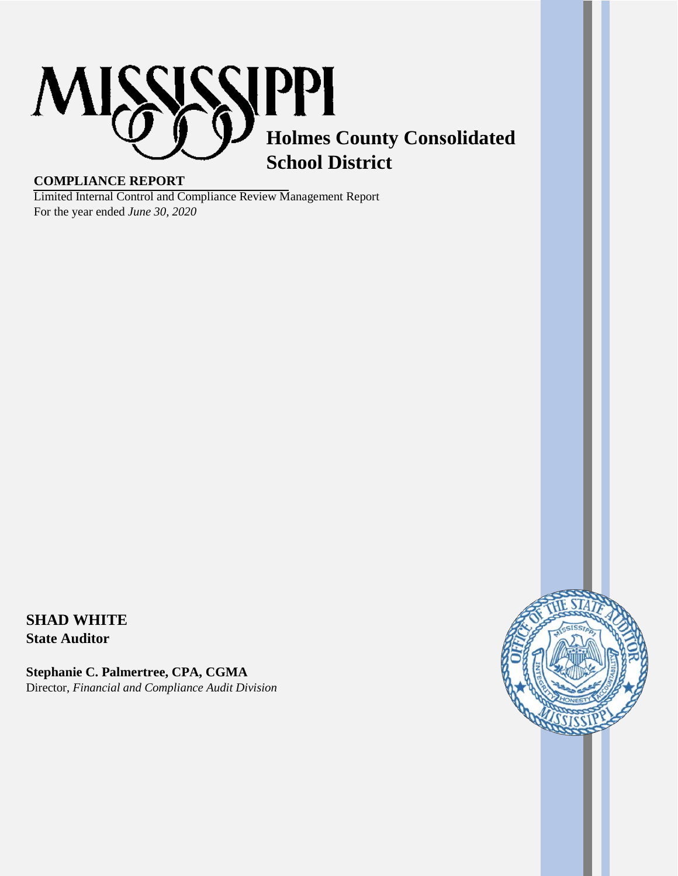

## **COMPLIANCE REPORT**

Limited Internal Control and Compliance Review Management Report For the year ended *June 30, 2020*

# **SHAD WHITE**

**State Auditor** 

**Stephanie C. Palmertree, CPA, CGMA**  Director, *Financial and Compliance Audit Division*

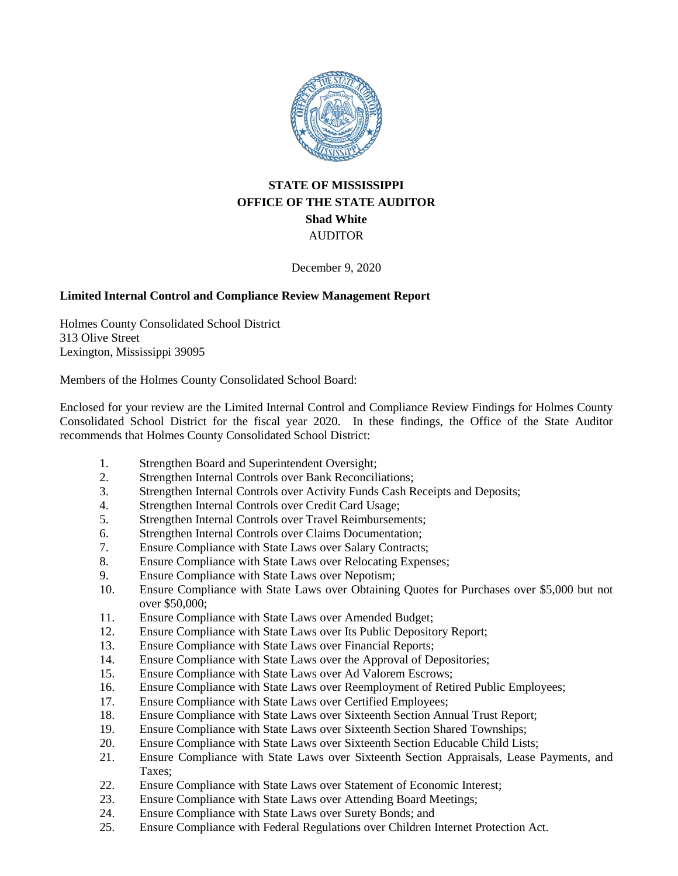

## **STATE OF MISSISSIPPI OFFICE OF THE STATE AUDITOR Shad White** AUDITOR

December 9, 2020

## **Limited Internal Control and Compliance Review Management Report**

Holmes County Consolidated School District 313 Olive Street Lexington, Mississippi 39095

Members of the Holmes County Consolidated School Board:

Enclosed for your review are the Limited Internal Control and Compliance Review Findings for Holmes County Consolidated School District for the fiscal year 2020. In these findings, the Office of the State Auditor recommends that Holmes County Consolidated School District:

- 1. Strengthen Board and Superintendent Oversight;
- 2. Strengthen Internal Controls over Bank Reconciliations;
- 3. Strengthen Internal Controls over Activity Funds Cash Receipts and Deposits;
- 4. Strengthen Internal Controls over Credit Card Usage;<br>5. Strengthen Internal Controls over Travel Reimbursem
- Strengthen Internal Controls over Travel Reimbursements;
- 6. Strengthen Internal Controls over Claims Documentation;
- 7. Ensure Compliance with State Laws over Salary Contracts;
- 8. Ensure Compliance with State Laws over Relocating Expenses;
- 9. Ensure Compliance with State Laws over Nepotism;
- 10. Ensure Compliance with State Laws over Obtaining Quotes for Purchases over \$5,000 but not over \$50,000;
- 11. Ensure Compliance with State Laws over Amended Budget;
- 12. Ensure Compliance with State Laws over Its Public Depository Report;
- 13. Ensure Compliance with State Laws over Financial Reports;
- 14. Ensure Compliance with State Laws over the Approval of Depositories;
- 15. Ensure Compliance with State Laws over Ad Valorem Escrows;
- 16. Ensure Compliance with State Laws over Reemployment of Retired Public Employees;
- 17. Ensure Compliance with State Laws over Certified Employees;
- 18. Ensure Compliance with State Laws over Sixteenth Section Annual Trust Report;
- 19. Ensure Compliance with State Laws over Sixteenth Section Shared Townships;
- 20. Ensure Compliance with State Laws over Sixteenth Section Educable Child Lists;
- 21. Ensure Compliance with State Laws over Sixteenth Section Appraisals, Lease Payments, and Taxes;
- 22. Ensure Compliance with State Laws over Statement of Economic Interest;
- 23. Ensure Compliance with State Laws over Attending Board Meetings;
- 24. Ensure Compliance with State Laws over Surety Bonds; and
- 25. Ensure Compliance with Federal Regulations over Children Internet Protection Act.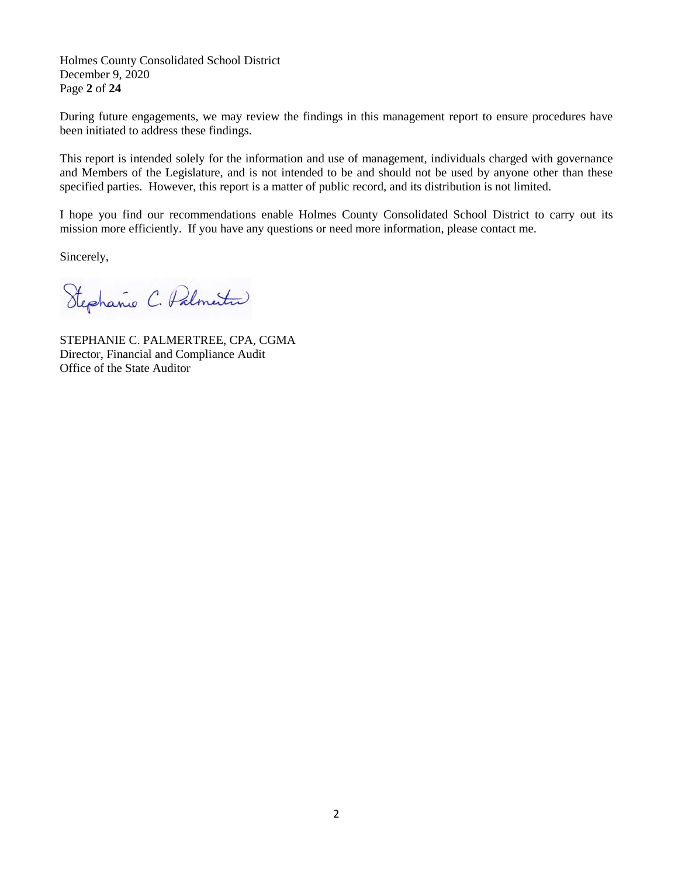Holmes County Consolidated School District December 9, 2020 Page **2** of **24**

During future engagements, we may review the findings in this management report to ensure procedures have been initiated to address these findings.

This report is intended solely for the information and use of management, individuals charged with governance and Members of the Legislature, and is not intended to be and should not be used by anyone other than these specified parties. However, this report is a matter of public record, and its distribution is not limited.

I hope you find our recommendations enable Holmes County Consolidated School District to carry out its mission more efficiently. If you have any questions or need more information, please contact me.

Sincerely,

Stephanie C. Palmertin

STEPHANIE C. PALMERTREE, CPA, CGMA Director, Financial and Compliance Audit Office of the State Auditor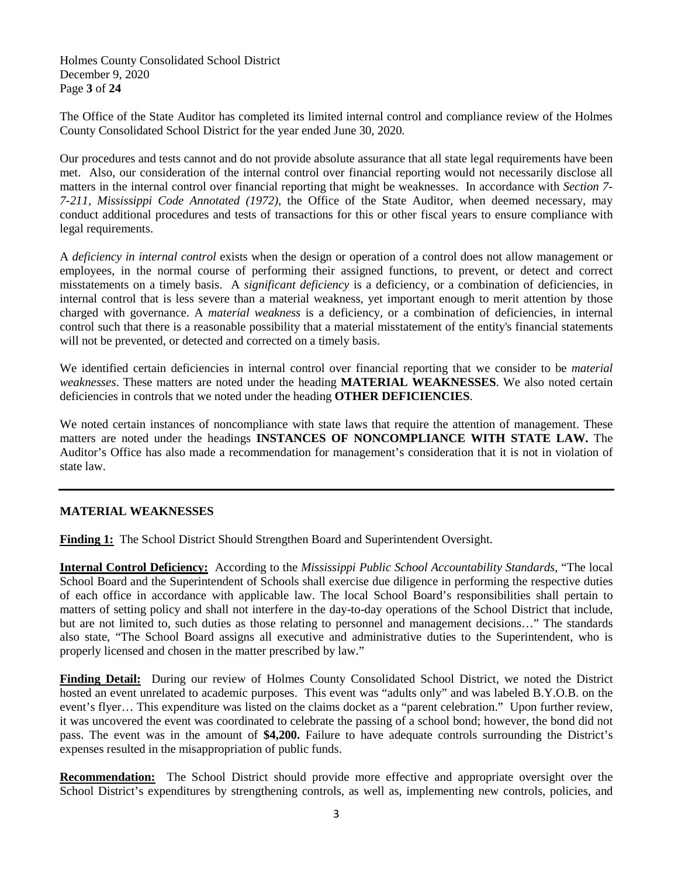Holmes County Consolidated School District December 9, 2020 Page **3** of **24**

The Office of the State Auditor has completed its limited internal control and compliance review of the Holmes County Consolidated School District for the year ended June 30, 2020.

Our procedures and tests cannot and do not provide absolute assurance that all state legal requirements have been met. Also, our consideration of the internal control over financial reporting would not necessarily disclose all matters in the internal control over financial reporting that might be weaknesses. In accordance with *Section 7- 7-211, Mississippi Code Annotated (1972)*, the Office of the State Auditor, when deemed necessary, may conduct additional procedures and tests of transactions for this or other fiscal years to ensure compliance with legal requirements.

A *deficiency in internal control* exists when the design or operation of a control does not allow management or employees, in the normal course of performing their assigned functions, to prevent, or detect and correct misstatements on a timely basis. A *significant deficiency* is a deficiency, or a combination of deficiencies, in internal control that is less severe than a material weakness, yet important enough to merit attention by those charged with governance. A *material weakness* is a deficiency, or a combination of deficiencies, in internal control such that there is a reasonable possibility that a material misstatement of the entity's financial statements will not be prevented, or detected and corrected on a timely basis.

We identified certain deficiencies in internal control over financial reporting that we consider to be *material weaknesses*. These matters are noted under the heading **MATERIAL WEAKNESSES**. We also noted certain deficiencies in controls that we noted under the heading **OTHER DEFICIENCIES**.

We noted certain instances of noncompliance with state laws that require the attention of management. These matters are noted under the headings **INSTANCES OF NONCOMPLIANCE WITH STATE LAW.** The Auditor's Office has also made a recommendation for management's consideration that it is not in violation of state law.

## **MATERIAL WEAKNESSES**

**Finding 1:** The School District Should Strengthen Board and Superintendent Oversight.

**Internal Control Deficiency:** According to the *Mississippi Public School Accountability Standards*, "The local School Board and the Superintendent of Schools shall exercise due diligence in performing the respective duties of each office in accordance with applicable law. The local School Board's responsibilities shall pertain to matters of setting policy and shall not interfere in the day-to-day operations of the School District that include, but are not limited to, such duties as those relating to personnel and management decisions…" The standards also state, "The School Board assigns all executive and administrative duties to the Superintendent, who is properly licensed and chosen in the matter prescribed by law."

**Finding Detail:** During our review of Holmes County Consolidated School District, we noted the District hosted an event unrelated to academic purposes. This event was "adults only" and was labeled B.Y.O.B. on the event's flyer… This expenditure was listed on the claims docket as a "parent celebration." Upon further review, it was uncovered the event was coordinated to celebrate the passing of a school bond; however, the bond did not pass. The event was in the amount of **\$4,200.** Failure to have adequate controls surrounding the District's expenses resulted in the misappropriation of public funds.

**Recommendation:** The School District should provide more effective and appropriate oversight over the School District's expenditures by strengthening controls, as well as, implementing new controls, policies, and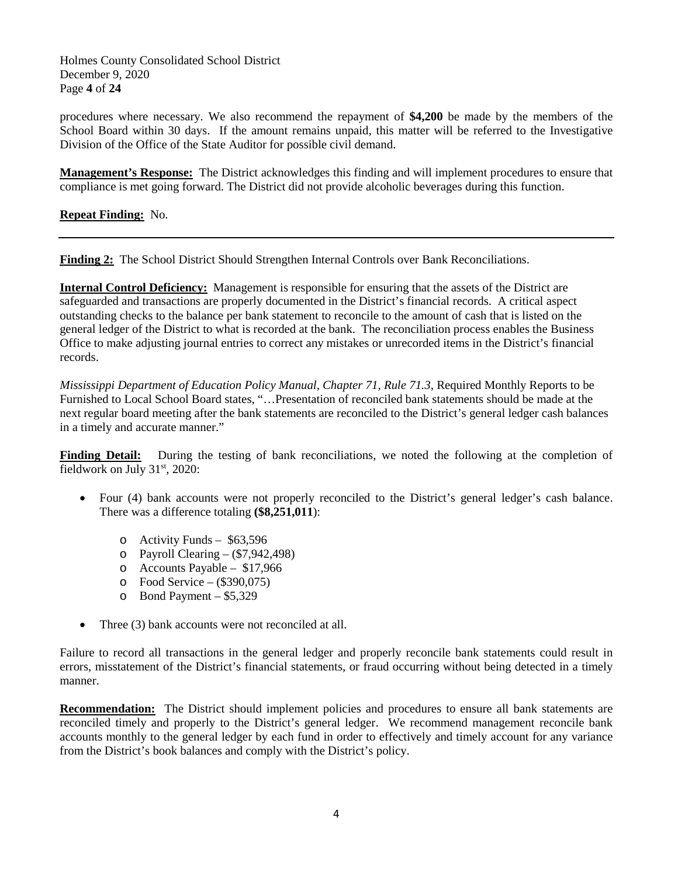Holmes County Consolidated School District December 9, 2020 Page **4** of **24**

procedures where necessary. We also recommend the repayment of **\$4,200** be made by the members of the School Board within 30 days. If the amount remains unpaid, this matter will be referred to the Investigative Division of the Office of the State Auditor for possible civil demand.

**Management's Response:** The District acknowledges this finding and will implement procedures to ensure that compliance is met going forward. The District did not provide alcoholic beverages during this function.

**Repeat Finding:** No.

**Finding 2:** The School District Should Strengthen Internal Controls over Bank Reconciliations.

**Internal Control Deficiency:** Management is responsible for ensuring that the assets of the District are safeguarded and transactions are properly documented in the District's financial records. A critical aspect outstanding checks to the balance per bank statement to reconcile to the amount of cash that is listed on the general ledger of the District to what is recorded at the bank. The reconciliation process enables the Business Office to make adjusting journal entries to correct any mistakes or unrecorded items in the District's financial records.

*Mississippi Department of Education Policy Manual, Chapter 71, Rule 71.3*, Required Monthly Reports to be Furnished to Local School Board states, "…Presentation of reconciled bank statements should be made at the next regular board meeting after the bank statements are reconciled to the District's general ledger cash balances in a timely and accurate manner."

**Finding Detail:** During the testing of bank reconciliations, we noted the following at the completion of fieldwork on July 31<sup>st</sup>, 2020:

- Four (4) bank accounts were not properly reconciled to the District's general ledger's cash balance. There was a difference totaling **(\$8,251,011**):
	- o Activity Funds \$63,596
	- o Payroll Clearing  $-$  (\$7,942,498)
	- o Accounts Payable \$17,966
	- o Food Service (\$390,075)
	- o Bond Payment \$5,329
- Three (3) bank accounts were not reconciled at all.

Failure to record all transactions in the general ledger and properly reconcile bank statements could result in errors, misstatement of the District's financial statements, or fraud occurring without being detected in a timely manner.

**Recommendation:** The District should implement policies and procedures to ensure all bank statements are reconciled timely and properly to the District's general ledger. We recommend management reconcile bank accounts monthly to the general ledger by each fund in order to effectively and timely account for any variance from the District's book balances and comply with the District's policy.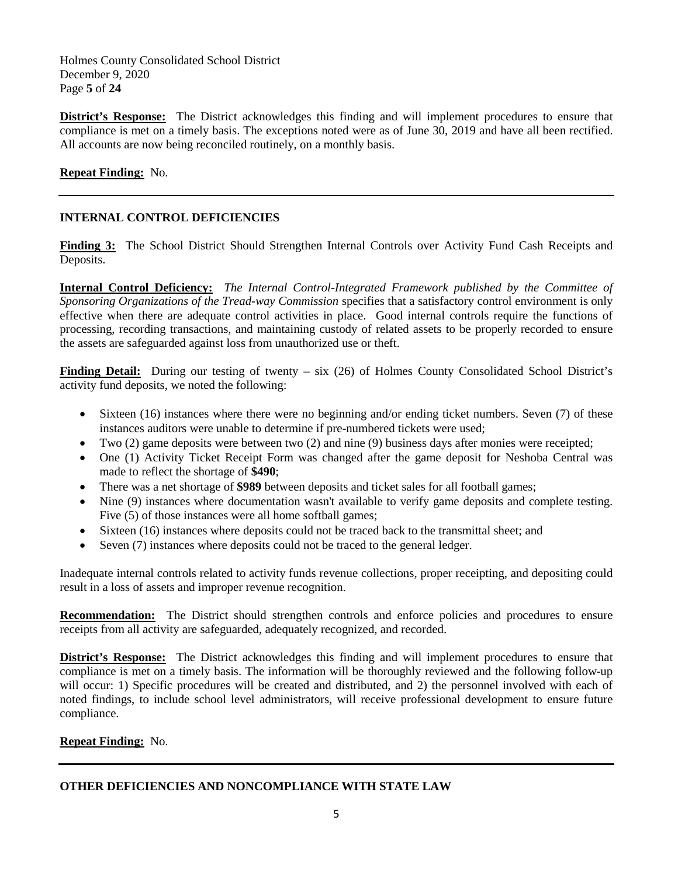Holmes County Consolidated School District December 9, 2020 Page **5** of **24**

**District's Response:** The District acknowledges this finding and will implement procedures to ensure that compliance is met on a timely basis. The exceptions noted were as of June 30, 2019 and have all been rectified. All accounts are now being reconciled routinely, on a monthly basis.

## **Repeat Finding:** No.

## **INTERNAL CONTROL DEFICIENCIES**

**Finding 3:** The School District Should Strengthen Internal Controls over Activity Fund Cash Receipts and Deposits.

**Internal Control Deficiency:** *The Internal Control-Integrated Framework published by the Committee of Sponsoring Organizations of the Tread-way Commission* specifies that a satisfactory control environment is only effective when there are adequate control activities in place. Good internal controls require the functions of processing, recording transactions, and maintaining custody of related assets to be properly recorded to ensure the assets are safeguarded against loss from unauthorized use or theft.

Finding Detail: During our testing of twenty – six (26) of Holmes County Consolidated School District's activity fund deposits, we noted the following:

- Sixteen (16) instances where there were no beginning and/or ending ticket numbers. Seven (7) of these instances auditors were unable to determine if pre-numbered tickets were used;
- Two (2) game deposits were between two (2) and nine (9) business days after monies were receipted;
- One (1) Activity Ticket Receipt Form was changed after the game deposit for Neshoba Central was made to reflect the shortage of **\$490**;
- There was a net shortage of **\$989** between deposits and ticket sales for all football games;
- Nine (9) instances where documentation wasn't available to verify game deposits and complete testing. Five (5) of those instances were all home softball games;
- Sixteen (16) instances where deposits could not be traced back to the transmittal sheet; and
- Seven (7) instances where deposits could not be traced to the general ledger.

Inadequate internal controls related to activity funds revenue collections, proper receipting, and depositing could result in a loss of assets and improper revenue recognition.

**Recommendation:** The District should strengthen controls and enforce policies and procedures to ensure receipts from all activity are safeguarded, adequately recognized, and recorded.

**District's Response:** The District acknowledges this finding and will implement procedures to ensure that compliance is met on a timely basis. The information will be thoroughly reviewed and the following follow-up will occur: 1) Specific procedures will be created and distributed, and 2) the personnel involved with each of noted findings, to include school level administrators, will receive professional development to ensure future compliance.

## **Repeat Finding:** No.

## **OTHER DEFICIENCIES AND NONCOMPLIANCE WITH STATE LAW**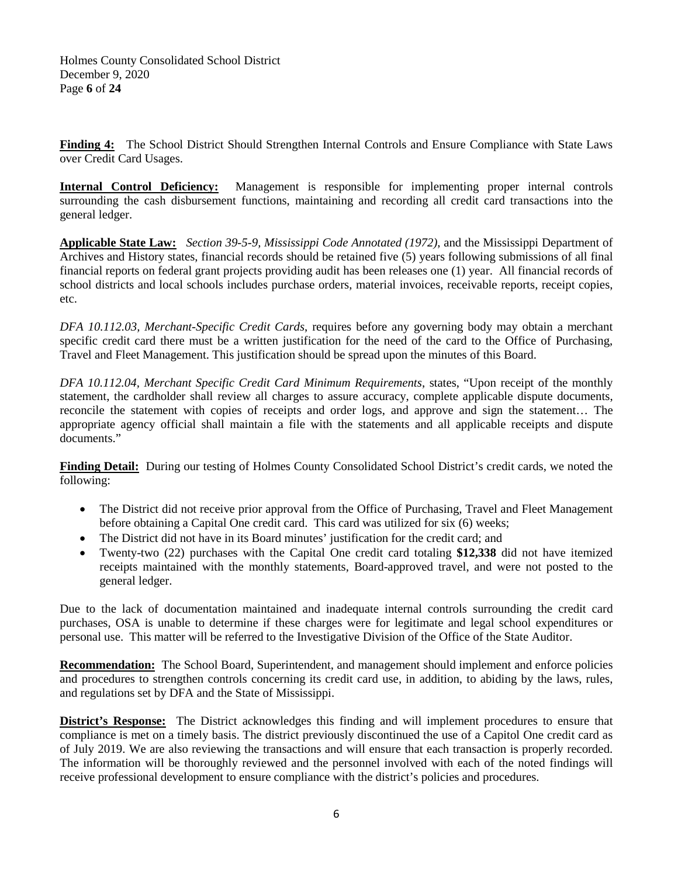Holmes County Consolidated School District December 9, 2020 Page **6** of **24**

**Finding 4:** The School District Should Strengthen Internal Controls and Ensure Compliance with State Laws over Credit Card Usages.

**Internal Control Deficiency:** Management is responsible for implementing proper internal controls surrounding the cash disbursement functions, maintaining and recording all credit card transactions into the general ledger.

**Applicable State Law:** *Section 39-5-9, Mississippi Code Annotated (1972)*, and the Mississippi Department of Archives and History states, financial records should be retained five (5) years following submissions of all final financial reports on federal grant projects providing audit has been releases one (1) year. All financial records of school districts and local schools includes purchase orders, material invoices, receivable reports, receipt copies, etc.

*DFA 10.112.03, Merchant-Specific Credit Cards*, requires before any governing body may obtain a merchant specific credit card there must be a written justification for the need of the card to the Office of Purchasing, Travel and Fleet Management. This justification should be spread upon the minutes of this Board.

*DFA 10.112.04, Merchant Specific Credit Card Minimum Requirements*, states, "Upon receipt of the monthly statement, the cardholder shall review all charges to assure accuracy, complete applicable dispute documents, reconcile the statement with copies of receipts and order logs, and approve and sign the statement… The appropriate agency official shall maintain a file with the statements and all applicable receipts and dispute documents."

**Finding Detail:** During our testing of Holmes County Consolidated School District's credit cards, we noted the following:

- The District did not receive prior approval from the Office of Purchasing, Travel and Fleet Management before obtaining a Capital One credit card. This card was utilized for six (6) weeks;
- The District did not have in its Board minutes' justification for the credit card; and
- Twenty-two (22) purchases with the Capital One credit card totaling **\$12,338** did not have itemized receipts maintained with the monthly statements, Board-approved travel, and were not posted to the general ledger.

Due to the lack of documentation maintained and inadequate internal controls surrounding the credit card purchases, OSA is unable to determine if these charges were for legitimate and legal school expenditures or personal use. This matter will be referred to the Investigative Division of the Office of the State Auditor.

**Recommendation:** The School Board, Superintendent, and management should implement and enforce policies and procedures to strengthen controls concerning its credit card use, in addition, to abiding by the laws, rules, and regulations set by DFA and the State of Mississippi.

**District's Response:** The District acknowledges this finding and will implement procedures to ensure that compliance is met on a timely basis. The district previously discontinued the use of a Capitol One credit card as of July 2019. We are also reviewing the transactions and will ensure that each transaction is properly recorded. The information will be thoroughly reviewed and the personnel involved with each of the noted findings will receive professional development to ensure compliance with the district's policies and procedures.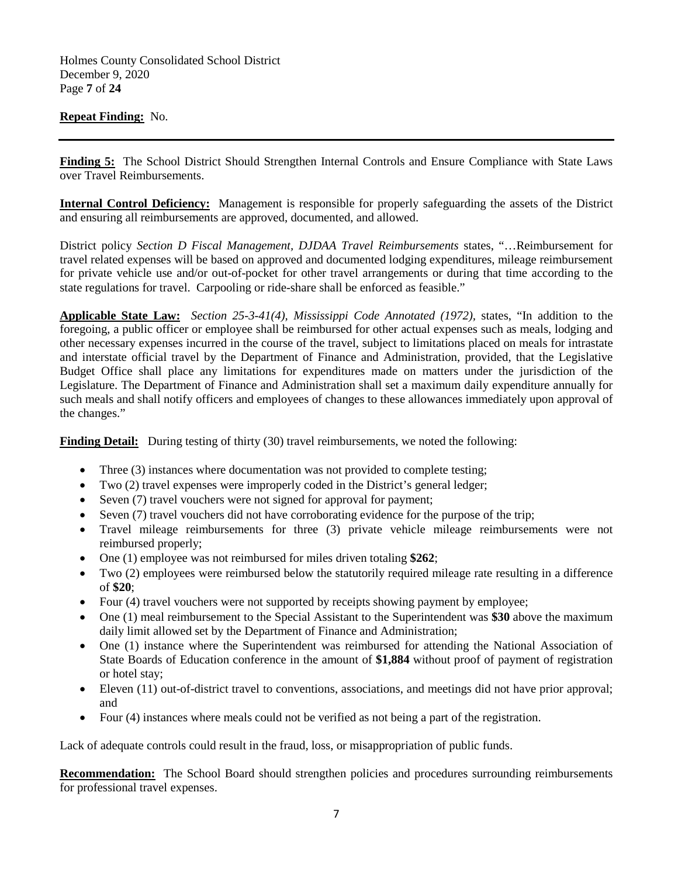Holmes County Consolidated School District December 9, 2020 Page **7** of **24**

## **Repeat Finding:** No.

**Finding 5:** The School District Should Strengthen Internal Controls and Ensure Compliance with State Laws over Travel Reimbursements.

**Internal Control Deficiency:** Management is responsible for properly safeguarding the assets of the District and ensuring all reimbursements are approved, documented, and allowed.

District policy *Section D Fiscal Management, DJDAA Travel Reimbursements* states, "…Reimbursement for travel related expenses will be based on approved and documented lodging expenditures, mileage reimbursement for private vehicle use and/or out-of-pocket for other travel arrangements or during that time according to the state regulations for travel. Carpooling or ride-share shall be enforced as feasible."

**Applicable State Law:** *Section 25-3-41(4), Mississippi Code Annotated (1972),* states, "In addition to the foregoing, a public officer or employee shall be reimbursed for other actual expenses such as meals, lodging and other necessary expenses incurred in the course of the travel, subject to limitations placed on meals for intrastate and interstate official travel by the Department of Finance and Administration, provided, that the Legislative Budget Office shall place any limitations for expenditures made on matters under the jurisdiction of the Legislature. The Department of Finance and Administration shall set a maximum daily expenditure annually for such meals and shall notify officers and employees of changes to these allowances immediately upon approval of the changes."

**Finding Detail:** During testing of thirty (30) travel reimbursements, we noted the following:

- Three (3) instances where documentation was not provided to complete testing;
- Two (2) travel expenses were improperly coded in the District's general ledger;
- Seven (7) travel vouchers were not signed for approval for payment;
- Seven (7) travel vouchers did not have corroborating evidence for the purpose of the trip;
- Travel mileage reimbursements for three (3) private vehicle mileage reimbursements were not reimbursed properly;
- One (1) employee was not reimbursed for miles driven totaling **\$262**;
- Two (2) employees were reimbursed below the statutorily required mileage rate resulting in a difference of **\$20**;
- Four (4) travel vouchers were not supported by receipts showing payment by employee;
- One (1) meal reimbursement to the Special Assistant to the Superintendent was \$30 above the maximum daily limit allowed set by the Department of Finance and Administration;
- One (1) instance where the Superintendent was reimbursed for attending the National Association of State Boards of Education conference in the amount of **\$1,884** without proof of payment of registration or hotel stay;
- Eleven (11) out-of-district travel to conventions, associations, and meetings did not have prior approval; and
- Four (4) instances where meals could not be verified as not being a part of the registration.

Lack of adequate controls could result in the fraud, loss, or misappropriation of public funds.

**Recommendation:** The School Board should strengthen policies and procedures surrounding reimbursements for professional travel expenses.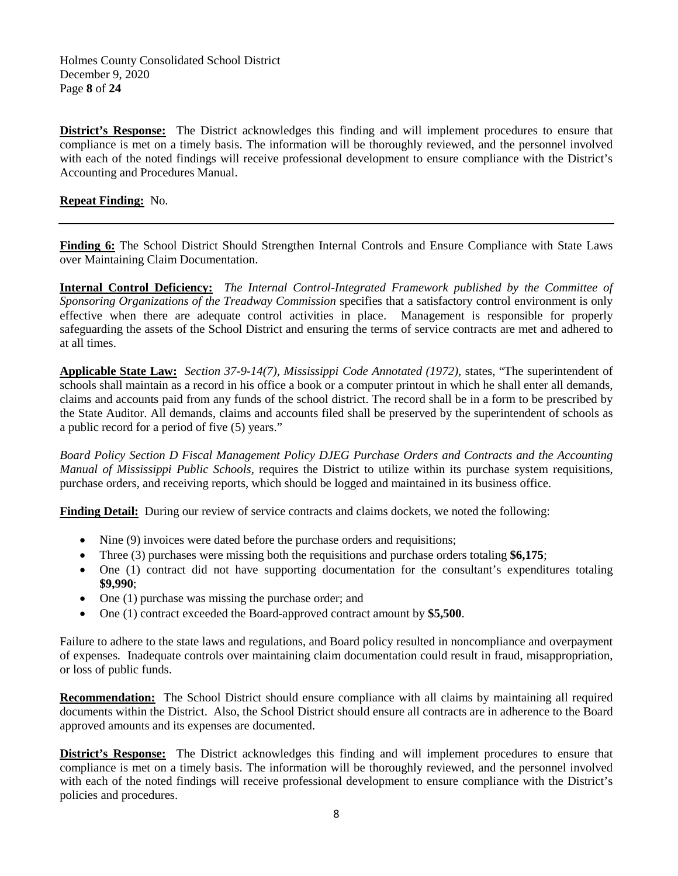Holmes County Consolidated School District December 9, 2020 Page **8** of **24**

**District's Response:** The District acknowledges this finding and will implement procedures to ensure that compliance is met on a timely basis. The information will be thoroughly reviewed, and the personnel involved with each of the noted findings will receive professional development to ensure compliance with the District's Accounting and Procedures Manual.

## **Repeat Finding:** No.

**Finding 6:** The School District Should Strengthen Internal Controls and Ensure Compliance with State Laws over Maintaining Claim Documentation.

**Internal Control Deficiency:** *The Internal Control-Integrated Framework published by the Committee of Sponsoring Organizations of the Treadway Commission* specifies that a satisfactory control environment is only effective when there are adequate control activities in place. Management is responsible for properly safeguarding the assets of the School District and ensuring the terms of service contracts are met and adhered to at all times.

**Applicable State Law:** *Section 37-9-14(7), Mississippi Code Annotated (1972),* states, "The superintendent of schools shall maintain as a record in his office a book or a computer printout in which he shall enter all demands, claims and accounts paid from any funds of the school district. The record shall be in a form to be prescribed by the State Auditor. All demands, claims and accounts filed shall be preserved by the superintendent of schools as a public record for a period of five (5) years."

*Board Policy Section D Fiscal Management Policy DJEG Purchase Orders and Contracts and the Accounting Manual of Mississippi Public Schools,* requires the District to utilize within its purchase system requisitions, purchase orders, and receiving reports, which should be logged and maintained in its business office.

Finding Detail: During our review of service contracts and claims dockets, we noted the following:

- Nine (9) invoices were dated before the purchase orders and requisitions;
- Three (3) purchases were missing both the requisitions and purchase orders totaling **\$6,175**;
- One (1) contract did not have supporting documentation for the consultant's expenditures totaling **\$9,990**;
- One (1) purchase was missing the purchase order; and
- One (1) contract exceeded the Board-approved contract amount by **\$5,500**.

Failure to adhere to the state laws and regulations, and Board policy resulted in noncompliance and overpayment of expenses. Inadequate controls over maintaining claim documentation could result in fraud, misappropriation, or loss of public funds.

**Recommendation:** The School District should ensure compliance with all claims by maintaining all required documents within the District. Also, the School District should ensure all contracts are in adherence to the Board approved amounts and its expenses are documented.

**District's Response:** The District acknowledges this finding and will implement procedures to ensure that compliance is met on a timely basis. The information will be thoroughly reviewed, and the personnel involved with each of the noted findings will receive professional development to ensure compliance with the District's policies and procedures.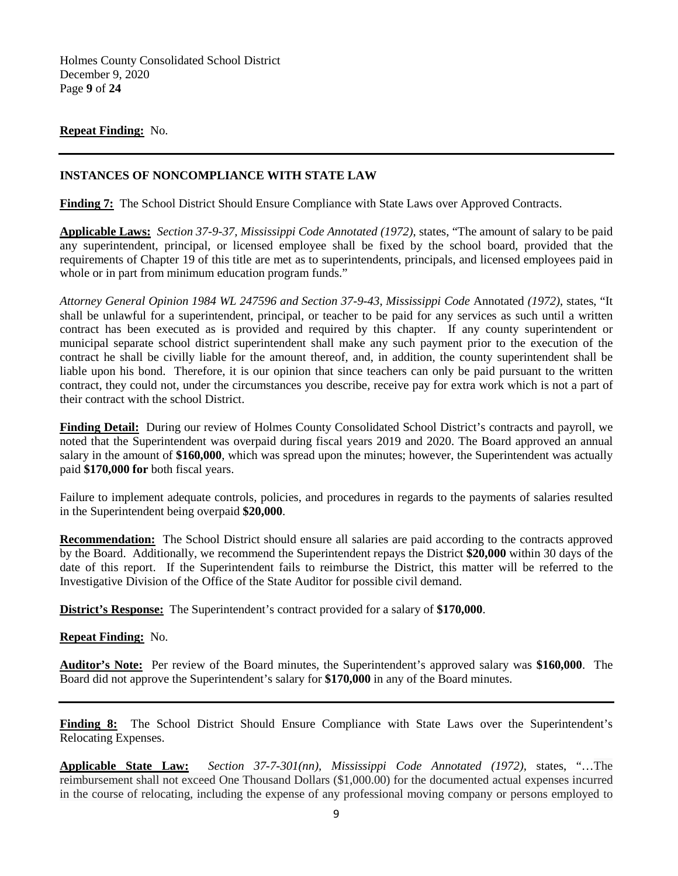Holmes County Consolidated School District December 9, 2020 Page **9** of **24**

## **Repeat Finding:** No.

## **INSTANCES OF NONCOMPLIANCE WITH STATE LAW**

**Finding 7:** The School District Should Ensure Compliance with State Laws over Approved Contracts.

**Applicable Laws:** *Section 37-9-37, Mississippi Code Annotated (1972)*, states, "The amount of salary to be paid any superintendent, principal, or licensed employee shall be fixed by the school board, provided that the requirements of Chapter 19 of this title are met as to superintendents, principals, and licensed employees paid in whole or in part from minimum education program funds."

*Attorney General Opinion 1984 WL 247596 and Section 37-9-43*, *Mississippi Code* Annotated *(1972)*, states, "It shall be unlawful for a superintendent, principal, or teacher to be paid for any services as such until a written contract has been executed as is provided and required by this chapter. If any county superintendent or municipal separate school district superintendent shall make any such payment prior to the execution of the contract he shall be civilly liable for the amount thereof, and, in addition, the county superintendent shall be liable upon his bond. Therefore, it is our opinion that since teachers can only be paid pursuant to the written contract, they could not, under the circumstances you describe, receive pay for extra work which is not a part of their contract with the school District.

**Finding Detail:** During our review of Holmes County Consolidated School District's contracts and payroll, we noted that the Superintendent was overpaid during fiscal years 2019 and 2020. The Board approved an annual salary in the amount of **\$160,000**, which was spread upon the minutes; however, the Superintendent was actually paid **\$170,000 for** both fiscal years.

Failure to implement adequate controls, policies, and procedures in regards to the payments of salaries resulted in the Superintendent being overpaid **\$20,000**.

**Recommendation:** The School District should ensure all salaries are paid according to the contracts approved by the Board. Additionally, we recommend the Superintendent repays the District **\$20,000** within 30 days of the date of this report. If the Superintendent fails to reimburse the District, this matter will be referred to the Investigative Division of the Office of the State Auditor for possible civil demand.

**District's Response:** The Superintendent's contract provided for a salary of **\$170,000**.

#### **Repeat Finding:** No.

**Auditor's Note:** Per review of the Board minutes, the Superintendent's approved salary was **\$160,000**. The Board did not approve the Superintendent's salary for **\$170,000** in any of the Board minutes.

Finding 8: The School District Should Ensure Compliance with State Laws over the Superintendent's Relocating Expenses.

**Applicable State Law:** *Section 37-7-301(nn), Mississippi Code Annotated (1972),* states, "…The reimbursement shall not exceed One Thousand Dollars (\$1,000.00) for the documented actual expenses incurred in the course of relocating, including the expense of any professional moving company or persons employed to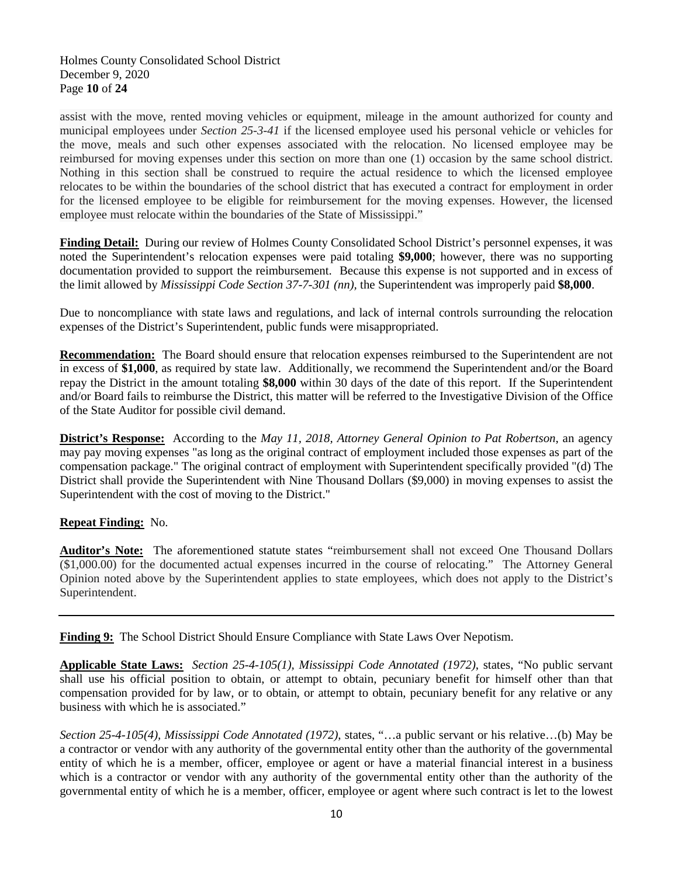assist with the move, rented moving vehicles or equipment, mileage in the amount authorized for county and municipal employees under *Section 25-3-41* if the licensed employee used his personal vehicle or vehicles for the move, meals and such other expenses associated with the relocation. No licensed employee may be reimbursed for moving expenses under this section on more than one (1) occasion by the same school district. Nothing in this section shall be construed to require the actual residence to which the licensed employee relocates to be within the boundaries of the school district that has executed a contract for employment in order for the licensed employee to be eligible for reimbursement for the moving expenses. However, the licensed employee must relocate within the boundaries of the State of Mississippi."

**Finding Detail:** During our review of Holmes County Consolidated School District's personnel expenses, it was noted the Superintendent's relocation expenses were paid totaling **\$9,000**; however, there was no supporting documentation provided to support the reimbursement. Because this expense is not supported and in excess of the limit allowed by *Mississippi Code Section 37-7-301 (nn),* the Superintendent was improperly paid **\$8,000**.

Due to noncompliance with state laws and regulations, and lack of internal controls surrounding the relocation expenses of the District's Superintendent, public funds were misappropriated.

**Recommendation:** The Board should ensure that relocation expenses reimbursed to the Superintendent are not in excess of **\$1,000**, as required by state law. Additionally, we recommend the Superintendent and/or the Board repay the District in the amount totaling **\$8,000** within 30 days of the date of this report. If the Superintendent and/or Board fails to reimburse the District, this matter will be referred to the Investigative Division of the Office of the State Auditor for possible civil demand.

**District's Response:** According to the *May 11, 2018, Attorney General Opinion to Pat Robertson*, an agency may pay moving expenses "as long as the original contract of employment included those expenses as part of the compensation package." The original contract of employment with Superintendent specifically provided "(d) The District shall provide the Superintendent with Nine Thousand Dollars (\$9,000) in moving expenses to assist the Superintendent with the cost of moving to the District."

## **Repeat Finding:** No.

**Auditor's Note:** The aforementioned statute states "reimbursement shall not exceed One Thousand Dollars (\$1,000.00) for the documented actual expenses incurred in the course of relocating." The Attorney General Opinion noted above by the Superintendent applies to state employees, which does not apply to the District's Superintendent.

**Finding 9:** The School District Should Ensure Compliance with State Laws Over Nepotism.

**Applicable State Laws:** *Section 25-4-105(1), Mississippi Code Annotated (1972)*, states, "No public servant shall use his official position to obtain, or attempt to obtain, pecuniary benefit for himself other than that compensation provided for by law, or to obtain, or attempt to obtain, pecuniary benefit for any relative or any business with which he is associated."

*Section 25-4-105(4), Mississippi Code Annotated (1972)*, states, "…a public servant or his relative…(b) May be a contractor or vendor with any authority of the governmental entity other than the authority of the governmental entity of which he is a member, officer, employee or agent or have a material financial interest in a business which is a contractor or vendor with any authority of the governmental entity other than the authority of the governmental entity of which he is a member, officer, employee or agent where such contract is let to the lowest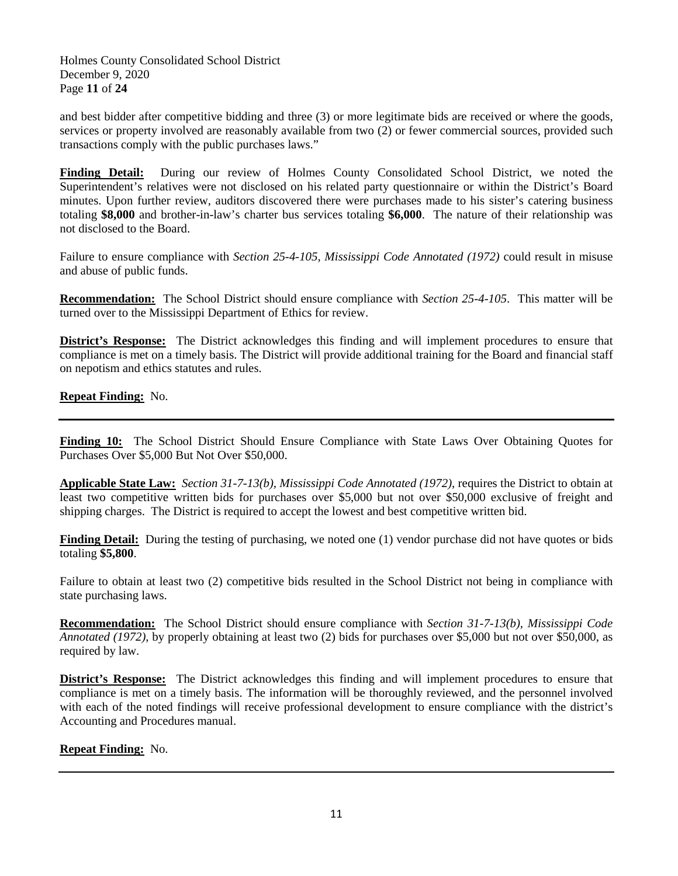Holmes County Consolidated School District December 9, 2020 Page **11** of **24**

and best bidder after competitive bidding and three (3) or more legitimate bids are received or where the goods, services or property involved are reasonably available from two (2) or fewer commercial sources, provided such transactions comply with the public purchases laws."

**Finding Detail:** During our review of Holmes County Consolidated School District, we noted the Superintendent's relatives were not disclosed on his related party questionnaire or within the District's Board minutes. Upon further review, auditors discovered there were purchases made to his sister's catering business totaling **\$8,000** and brother-in-law's charter bus services totaling **\$6,000**. The nature of their relationship was not disclosed to the Board.

Failure to ensure compliance with *Section 25-4-105, Mississippi Code Annotated (1972)* could result in misuse and abuse of public funds.

**Recommendation:** The School District should ensure compliance with *Section 25-4-105*. This matter will be turned over to the Mississippi Department of Ethics for review.

**District's Response:** The District acknowledges this finding and will implement procedures to ensure that compliance is met on a timely basis. The District will provide additional training for the Board and financial staff on nepotism and ethics statutes and rules.

**Repeat Finding:** No.

**Finding 10:** The School District Should Ensure Compliance with State Laws Over Obtaining Quotes for Purchases Over \$5,000 But Not Over \$50,000.

**Applicable State Law:** *Section 31-7-13(b), Mississippi Code Annotated (1972)*, requires the District to obtain at least two competitive written bids for purchases over \$5,000 but not over \$50,000 exclusive of freight and shipping charges. The District is required to accept the lowest and best competitive written bid.

**Finding Detail:** During the testing of purchasing, we noted one (1) vendor purchase did not have quotes or bids totaling **\$5,800**.

Failure to obtain at least two (2) competitive bids resulted in the School District not being in compliance with state purchasing laws.

**Recommendation:** The School District should ensure compliance with *Section 31-7-13(b), Mississippi Code Annotated (1972)*, by properly obtaining at least two (2) bids for purchases over \$5,000 but not over \$50,000, as required by law.

**District's Response:** The District acknowledges this finding and will implement procedures to ensure that compliance is met on a timely basis. The information will be thoroughly reviewed, and the personnel involved with each of the noted findings will receive professional development to ensure compliance with the district's Accounting and Procedures manual.

## **Repeat Finding:** No.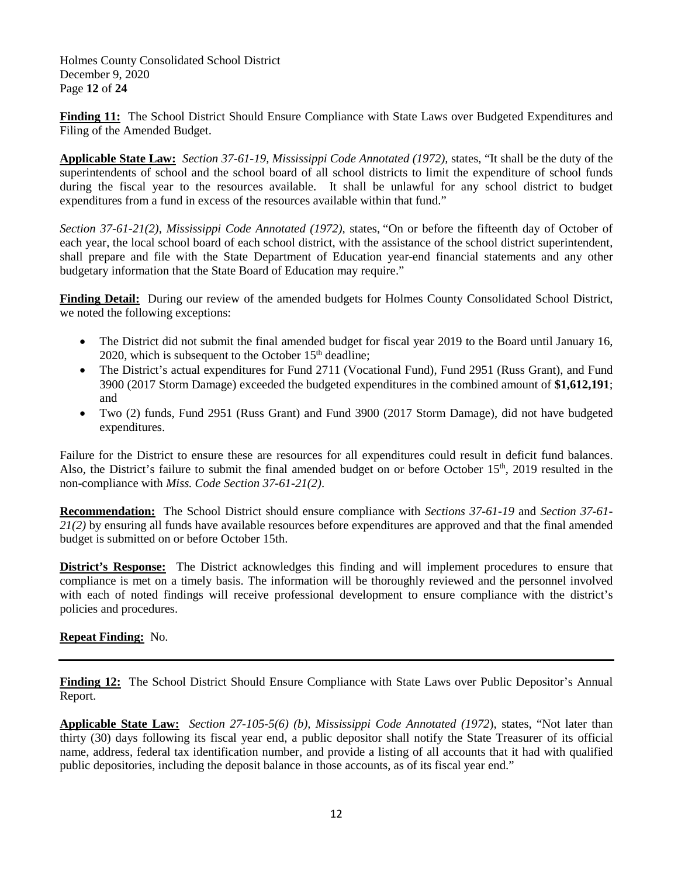Holmes County Consolidated School District December 9, 2020 Page **12** of **24**

**Finding 11:** The School District Should Ensure Compliance with State Laws over Budgeted Expenditures and Filing of the Amended Budget.

**Applicable State Law:** *Section 37-61-19, Mississippi Code Annotated (1972),* states, "It shall be the duty of the superintendents of school and the school board of all school districts to limit the expenditure of school funds during the fiscal year to the resources available. It shall be unlawful for any school district to budget expenditures from a fund in excess of the resources available within that fund."

*Section 37-61-21(2), Mississippi Code Annotated (1972), states, "On or before the fifteenth day of October of* each year, the local school board of each school district, with the assistance of the school district superintendent, shall prepare and file with the State Department of Education year-end financial statements and any other budgetary information that the State Board of Education may require."

**Finding Detail:** During our review of the amended budgets for Holmes County Consolidated School District, we noted the following exceptions:

- The District did not submit the final amended budget for fiscal year 2019 to the Board until January 16, 2020, which is subsequent to the October  $15<sup>th</sup>$  deadline;
- The District's actual expenditures for Fund 2711 (Vocational Fund), Fund 2951 (Russ Grant), and Fund 3900 (2017 Storm Damage) exceeded the budgeted expenditures in the combined amount of **\$1,612,191**; and
- Two (2) funds, Fund 2951 (Russ Grant) and Fund 3900 (2017 Storm Damage), did not have budgeted expenditures.

Failure for the District to ensure these are resources for all expenditures could result in deficit fund balances. Also, the District's failure to submit the final amended budget on or before October 15<sup>th</sup>, 2019 resulted in the non-compliance with *Miss. Code Section 37-61-21(2)*.

**Recommendation:** The School District should ensure compliance with *Sections 37-61-19* and *Section 37-61- 21(2)* by ensuring all funds have available resources before expenditures are approved and that the final amended budget is submitted on or before October 15th.

**District's Response:** The District acknowledges this finding and will implement procedures to ensure that compliance is met on a timely basis. The information will be thoroughly reviewed and the personnel involved with each of noted findings will receive professional development to ensure compliance with the district's policies and procedures.

## **Repeat Finding:** No.

**Finding 12:** The School District Should Ensure Compliance with State Laws over Public Depositor's Annual Report.

**Applicable State Law:** *Section 27-105-5(6) (b), Mississippi Code Annotated (1972*), states, "Not later than thirty (30) days following its fiscal year end, a public depositor shall notify the State Treasurer of its official name, address, federal tax identification number, and provide a listing of all accounts that it had with qualified public depositories, including the deposit balance in those accounts, as of its fiscal year end."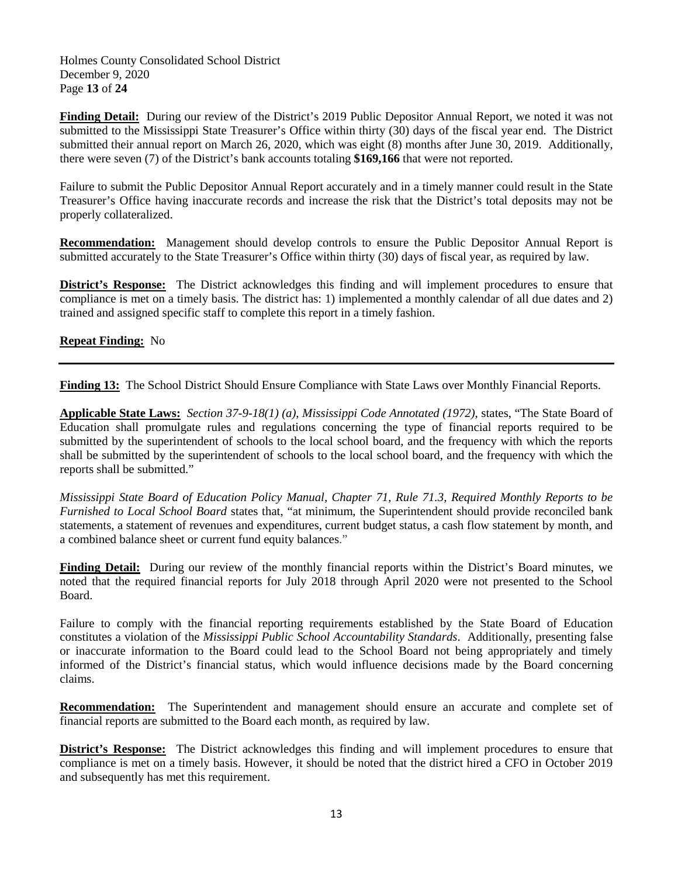Holmes County Consolidated School District December 9, 2020 Page **13** of **24**

**Finding Detail:** During our review of the District's 2019 Public Depositor Annual Report, we noted it was not submitted to the Mississippi State Treasurer's Office within thirty (30) days of the fiscal year end. The District submitted their annual report on March 26, 2020, which was eight (8) months after June 30, 2019. Additionally, there were seven (7) of the District's bank accounts totaling **\$169,166** that were not reported.

Failure to submit the Public Depositor Annual Report accurately and in a timely manner could result in the State Treasurer's Office having inaccurate records and increase the risk that the District's total deposits may not be properly collateralized.

**Recommendation:** Management should develop controls to ensure the Public Depositor Annual Report is submitted accurately to the State Treasurer's Office within thirty (30) days of fiscal year, as required by law.

**District's Response:** The District acknowledges this finding and will implement procedures to ensure that compliance is met on a timely basis. The district has: 1) implemented a monthly calendar of all due dates and 2) trained and assigned specific staff to complete this report in a timely fashion.

## **Repeat Finding:** No

**Finding 13:** The School District Should Ensure Compliance with State Laws over Monthly Financial Reports.

**Applicable State Laws:** *Section 37-9-18(1) (a), Mississippi Code Annotated (1972),* states, "The State Board of Education shall promulgate rules and regulations concerning the type of financial reports required to be submitted by the superintendent of schools to the local school board, and the frequency with which the reports shall be submitted by the superintendent of schools to the local school board, and the frequency with which the reports shall be submitted."

*Mississippi State Board of Education Policy Manual, Chapter 71, Rule 71.3, Required Monthly Reports to be Furnished to Local School Board* states that, "at minimum, the Superintendent should provide reconciled bank statements, a statement of revenues and expenditures, current budget status, a cash flow statement by month, and a combined balance sheet or current fund equity balances."

**Finding Detail:** During our review of the monthly financial reports within the District's Board minutes, we noted that the required financial reports for July 2018 through April 2020 were not presented to the School Board.

Failure to comply with the financial reporting requirements established by the State Board of Education constitutes a violation of the *Mississippi Public School Accountability Standards*. Additionally, presenting false or inaccurate information to the Board could lead to the School Board not being appropriately and timely informed of the District's financial status, which would influence decisions made by the Board concerning claims.

**Recommendation:** The Superintendent and management should ensure an accurate and complete set of financial reports are submitted to the Board each month, as required by law.

**District's Response:** The District acknowledges this finding and will implement procedures to ensure that compliance is met on a timely basis. However, it should be noted that the district hired a CFO in October 2019 and subsequently has met this requirement.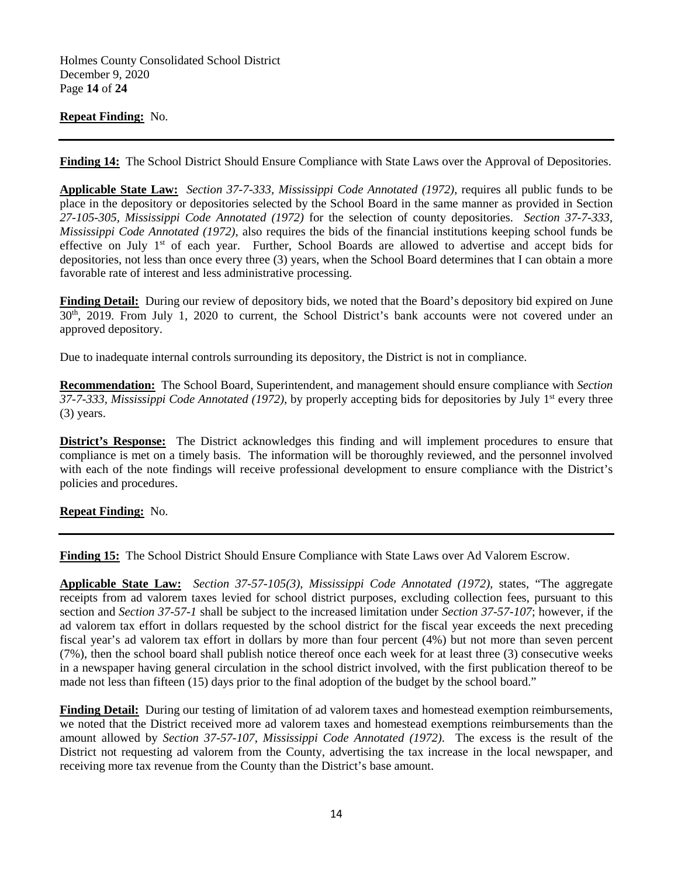Holmes County Consolidated School District December 9, 2020 Page **14** of **24**

## **Repeat Finding:** No.

**Finding 14:** The School District Should Ensure Compliance with State Laws over the Approval of Depositories.

**Applicable State Law:** *Section 37-7-333, Mississippi Code Annotated (1972)*, requires all public funds to be place in the depository or depositories selected by the School Board in the same manner as provided in Section *27-105-305, Mississippi Code Annotated (1972)* for the selection of county depositories. *Section 37-7-333*, *Mississippi Code Annotated (1972)*, also requires the bids of the financial institutions keeping school funds be effective on July 1<sup>st</sup> of each year. Further, School Boards are allowed to advertise and accept bids for depositories, not less than once every three (3) years, when the School Board determines that I can obtain a more favorable rate of interest and less administrative processing.

**Finding Detail:** During our review of depository bids, we noted that the Board's depository bid expired on June 30th, 2019. From July 1, 2020 to current, the School District's bank accounts were not covered under an approved depository.

Due to inadequate internal controls surrounding its depository, the District is not in compliance.

**Recommendation:** The School Board, Superintendent, and management should ensure compliance with *Section 37-7-333, Mississippi Code Annotated (1972)*, by properly accepting bids for depositories by July 1st every three (3) years.

**District's Response:** The District acknowledges this finding and will implement procedures to ensure that compliance is met on a timely basis. The information will be thoroughly reviewed, and the personnel involved with each of the note findings will receive professional development to ensure compliance with the District's policies and procedures.

**Repeat Finding:** No.

**Finding 15:** The School District Should Ensure Compliance with State Laws over Ad Valorem Escrow.

**Applicable State Law:** *Section 37-57-105(3), Mississippi Code Annotated (1972)*, states, "The aggregate receipts from ad valorem taxes levied for school district purposes, excluding collection fees, pursuant to this section and *Section 37-57-1* shall be subject to the increased limitation under *Section 37-57-107*; however, if the ad valorem tax effort in dollars requested by the school district for the fiscal year exceeds the next preceding fiscal year's ad valorem tax effort in dollars by more than four percent (4%) but not more than seven percent (7%), then the school board shall publish notice thereof once each week for at least three (3) consecutive weeks in a newspaper having general circulation in the school district involved, with the first publication thereof to be made not less than fifteen (15) days prior to the final adoption of the budget by the school board."

**Finding Detail:** During our testing of limitation of ad valorem taxes and homestead exemption reimbursements, we noted that the District received more ad valorem taxes and homestead exemptions reimbursements than the amount allowed by *Section 37-57-107, Mississippi Code Annotated (1972)*. The excess is the result of the District not requesting ad valorem from the County, advertising the tax increase in the local newspaper, and receiving more tax revenue from the County than the District's base amount.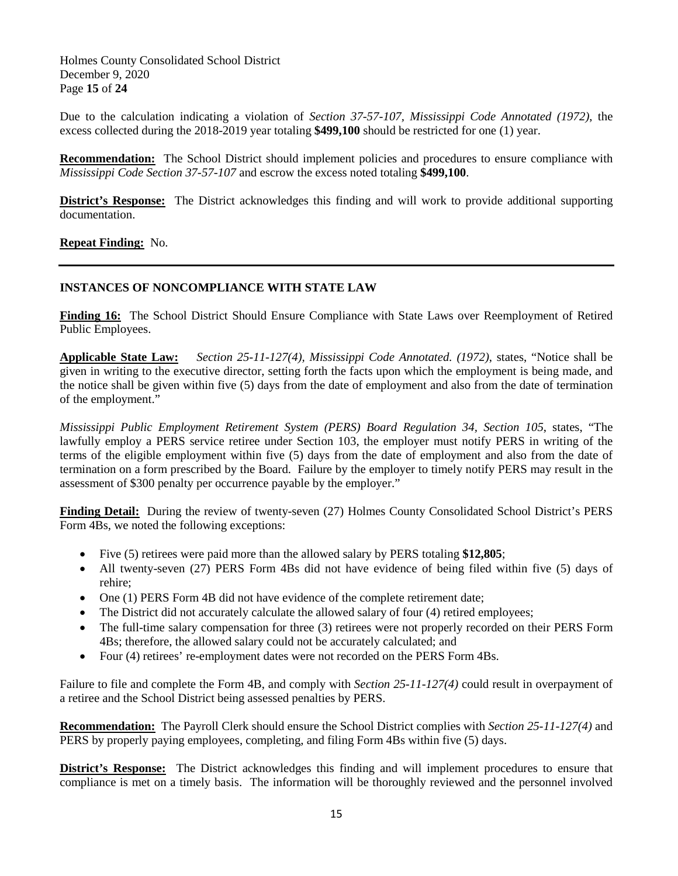Holmes County Consolidated School District December 9, 2020 Page **15** of **24**

Due to the calculation indicating a violation of *Section 37-57-107, Mississippi Code Annotated (1972)*, the excess collected during the 2018-2019 year totaling **\$499,100** should be restricted for one (1) year.

**Recommendation:** The School District should implement policies and procedures to ensure compliance with *Mississippi Code Section 37-57-107* and escrow the excess noted totaling **\$499,100**.

**District's Response:** The District acknowledges this finding and will work to provide additional supporting documentation.

**Repeat Finding:** No.

## **INSTANCES OF NONCOMPLIANCE WITH STATE LAW**

**Finding 16:** The School District Should Ensure Compliance with State Laws over Reemployment of Retired Public Employees.

**Applicable State Law:** *Section 25-11-127(4), Mississippi Code Annotated. (1972)*, states, "Notice shall be given in writing to the executive director, setting forth the facts upon which the employment is being made, and the notice shall be given within five (5) days from the date of employment and also from the date of termination of the employment."

*Mississippi Public Employment Retirement System (PERS) Board Regulation 34, Section 105*, states, "The lawfully employ a PERS service retiree under Section 103, the employer must notify PERS in writing of the terms of the eligible employment within five (5) days from the date of employment and also from the date of termination on a form prescribed by the Board. Failure by the employer to timely notify PERS may result in the assessment of \$300 penalty per occurrence payable by the employer."

**Finding Detail:** During the review of twenty-seven (27) Holmes County Consolidated School District's PERS Form 4Bs, we noted the following exceptions:

- Five (5) retirees were paid more than the allowed salary by PERS totaling **\$12,805**;
- All twenty-seven (27) PERS Form 4Bs did not have evidence of being filed within five (5) days of rehire;
- One (1) PERS Form 4B did not have evidence of the complete retirement date;
- The District did not accurately calculate the allowed salary of four (4) retired employees;
- The full-time salary compensation for three (3) retirees were not properly recorded on their PERS Form 4Bs; therefore, the allowed salary could not be accurately calculated; and
- Four (4) retirees' re-employment dates were not recorded on the PERS Form 4Bs.

Failure to file and complete the Form 4B, and comply with *Section 25-11-127(4)* could result in overpayment of a retiree and the School District being assessed penalties by PERS.

**Recommendation:** The Payroll Clerk should ensure the School District complies with *Section 25-11-127(4)* and PERS by properly paying employees, completing, and filing Form 4Bs within five (5) days.

**District's Response:** The District acknowledges this finding and will implement procedures to ensure that compliance is met on a timely basis. The information will be thoroughly reviewed and the personnel involved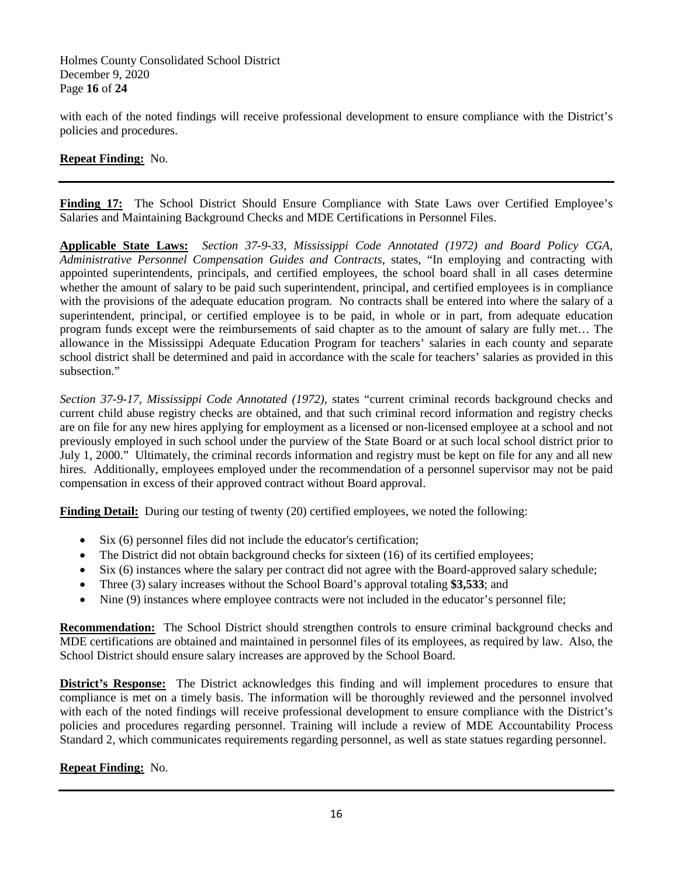Holmes County Consolidated School District December 9, 2020 Page **16** of **24**

with each of the noted findings will receive professional development to ensure compliance with the District's policies and procedures.

## **Repeat Finding:** No.

**Finding 17:** The School District Should Ensure Compliance with State Laws over Certified Employee's Salaries and Maintaining Background Checks and MDE Certifications in Personnel Files.

**Applicable State Laws:** *Section 37-9-33, Mississippi Code Annotated (1972) and Board Policy CGA, Administrative Personnel Compensation Guides and Contracts,* states, "In employing and contracting with appointed superintendents, principals, and certified employees, the school board shall in all cases determine whether the amount of salary to be paid such superintendent, principal, and certified employees is in compliance with the provisions of the adequate education program. No contracts shall be entered into where the salary of a superintendent, principal, or certified employee is to be paid, in whole or in part, from adequate education program funds except were the reimbursements of said chapter as to the amount of salary are fully met… The allowance in the Mississippi Adequate Education Program for teachers' salaries in each county and separate school district shall be determined and paid in accordance with the scale for teachers' salaries as provided in this subsection."

*Section 37-9-17, Mississippi Code Annotated (1972)*, states "current criminal records background checks and current child abuse registry checks are obtained, and that such criminal record information and registry checks are on file for any new hires applying for employment as a licensed or non-licensed employee at a school and not previously employed in such school under the purview of the State Board or at such local school district prior to July 1, 2000." Ultimately, the criminal records information and registry must be kept on file for any and all new hires. Additionally, employees employed under the recommendation of a personnel supervisor may not be paid compensation in excess of their approved contract without Board approval.

**Finding Detail:** During our testing of twenty (20) certified employees, we noted the following:

- Six (6) personnel files did not include the educator's certification;
- The District did not obtain background checks for sixteen (16) of its certified employees;
- Six (6) instances where the salary per contract did not agree with the Board-approved salary schedule;
- Three (3) salary increases without the School Board's approval totaling **\$3,533**; and
- Nine (9) instances where employee contracts were not included in the educator's personnel file;

**Recommendation:** The School District should strengthen controls to ensure criminal background checks and MDE certifications are obtained and maintained in personnel files of its employees, as required by law. Also, the School District should ensure salary increases are approved by the School Board.

**District's Response:** The District acknowledges this finding and will implement procedures to ensure that compliance is met on a timely basis. The information will be thoroughly reviewed and the personnel involved with each of the noted findings will receive professional development to ensure compliance with the District's policies and procedures regarding personnel. Training will include a review of MDE Accountability Process Standard 2, which communicates requirements regarding personnel, as well as state statues regarding personnel.

## **Repeat Finding:** No.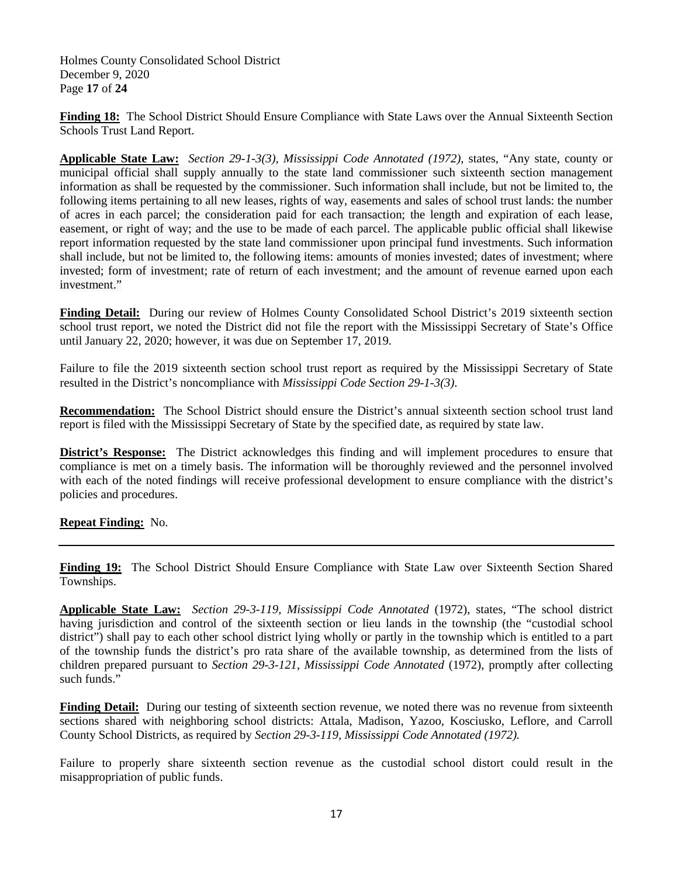Holmes County Consolidated School District December 9, 2020 Page **17** of **24**

**Finding 18:** The School District Should Ensure Compliance with State Laws over the Annual Sixteenth Section Schools Trust Land Report.

**Applicable State Law:** *Section 29-1-3(3), Mississippi Code Annotated (1972)*, states, "Any state, county or municipal official shall supply annually to the state land commissioner such sixteenth section management information as shall be requested by the commissioner. Such information shall include, but not be limited to, the following items pertaining to all new leases, rights of way, easements and sales of school trust lands: the number of acres in each parcel; the consideration paid for each transaction; the length and expiration of each lease, easement, or right of way; and the use to be made of each parcel. The applicable public official shall likewise report information requested by the state land commissioner upon principal fund investments. Such information shall include, but not be limited to, the following items: amounts of monies invested; dates of investment; where invested; form of investment; rate of return of each investment; and the amount of revenue earned upon each investment."

**Finding Detail:** During our review of Holmes County Consolidated School District's 2019 sixteenth section school trust report, we noted the District did not file the report with the Mississippi Secretary of State's Office until January 22, 2020; however, it was due on September 17, 2019.

Failure to file the 2019 sixteenth section school trust report as required by the Mississippi Secretary of State resulted in the District's noncompliance with *Mississippi Code Section 29-1-3(3)*.

**Recommendation:** The School District should ensure the District's annual sixteenth section school trust land report is filed with the Mississippi Secretary of State by the specified date, as required by state law.

**District's Response:** The District acknowledges this finding and will implement procedures to ensure that compliance is met on a timely basis. The information will be thoroughly reviewed and the personnel involved with each of the noted findings will receive professional development to ensure compliance with the district's policies and procedures.

**Repeat Finding:** No.

**Finding 19:** The School District Should Ensure Compliance with State Law over Sixteenth Section Shared Townships.

**Applicable State Law:** *Section 29-3-119, Mississippi Code Annotated* (1972), states, "The school district having jurisdiction and control of the sixteenth section or lieu lands in the township (the "custodial school district") shall pay to each other school district lying wholly or partly in the township which is entitled to a part of the township funds the district's pro rata share of the available township, as determined from the lists of children prepared pursuant to *Section 29-3-121*, *Mississippi Code Annotated* (1972), promptly after collecting such funds."

**Finding Detail:** During our testing of sixteenth section revenue, we noted there was no revenue from sixteenth sections shared with neighboring school districts: Attala, Madison, Yazoo, Kosciusko, Leflore, and Carroll County School Districts, as required by *Section 29-3-119, Mississippi Code Annotated (1972).*

Failure to properly share sixteenth section revenue as the custodial school distort could result in the misappropriation of public funds.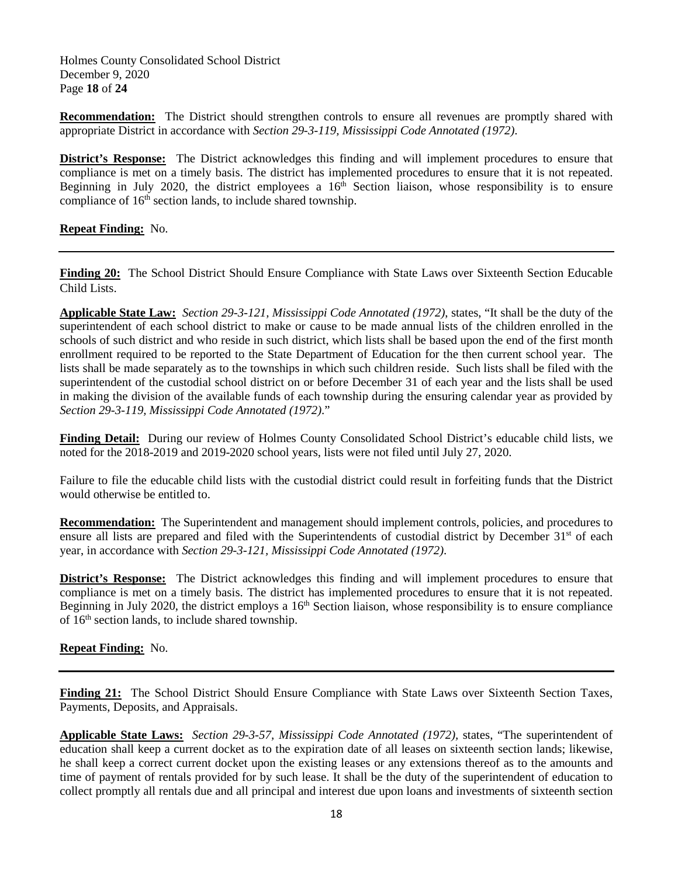Holmes County Consolidated School District December 9, 2020 Page **18** of **24**

**Recommendation:** The District should strengthen controls to ensure all revenues are promptly shared with appropriate District in accordance with *Section 29-3-119, Mississippi Code Annotated (1972)*.

**District's Response:** The District acknowledges this finding and will implement procedures to ensure that compliance is met on a timely basis. The district has implemented procedures to ensure that it is not repeated. Beginning in July 2020, the district employees a  $16<sup>th</sup>$  Section liaison, whose responsibility is to ensure compliance of 16<sup>th</sup> section lands, to include shared township.

**Repeat Finding:** No.

**Finding 20:** The School District Should Ensure Compliance with State Laws over Sixteenth Section Educable Child Lists.

**Applicable State Law:** *Section 29-3-121, Mississippi Code Annotated (1972)*, states, "It shall be the duty of the superintendent of each school district to make or cause to be made annual lists of the children enrolled in the schools of such district and who reside in such district, which lists shall be based upon the end of the first month enrollment required to be reported to the State Department of Education for the then current school year. The lists shall be made separately as to the townships in which such children reside. Such lists shall be filed with the superintendent of the custodial school district on or before December 31 of each year and the lists shall be used in making the division of the available funds of each township during the ensuring calendar year as provided by *Section 29-3-119, Mississippi Code Annotated (1972)*."

**Finding Detail:** During our review of Holmes County Consolidated School District's educable child lists, we noted for the 2018-2019 and 2019-2020 school years, lists were not filed until July 27, 2020.

Failure to file the educable child lists with the custodial district could result in forfeiting funds that the District would otherwise be entitled to.

**Recommendation:** The Superintendent and management should implement controls, policies, and procedures to ensure all lists are prepared and filed with the Superintendents of custodial district by December 31<sup>st</sup> of each year, in accordance with *Section 29-3-121, Mississippi Code Annotated (1972)*.

**District's Response:** The District acknowledges this finding and will implement procedures to ensure that compliance is met on a timely basis. The district has implemented procedures to ensure that it is not repeated. Beginning in July 2020, the district employs a  $16<sup>th</sup>$  Section liaison, whose responsibility is to ensure compliance of 16<sup>th</sup> section lands, to include shared township.

**Repeat Finding:** No.

Finding 21: The School District Should Ensure Compliance with State Laws over Sixteenth Section Taxes, Payments, Deposits, and Appraisals.

**Applicable State Laws:** *Section 29-3-57, Mississippi Code Annotated (1972),* states, "The superintendent of education shall keep a current docket as to the expiration date of all leases on sixteenth section lands; likewise, he shall keep a correct current docket upon the existing leases or any extensions thereof as to the amounts and time of payment of rentals provided for by such lease. It shall be the duty of the superintendent of education to collect promptly all rentals due and all principal and interest due upon loans and investments of sixteenth section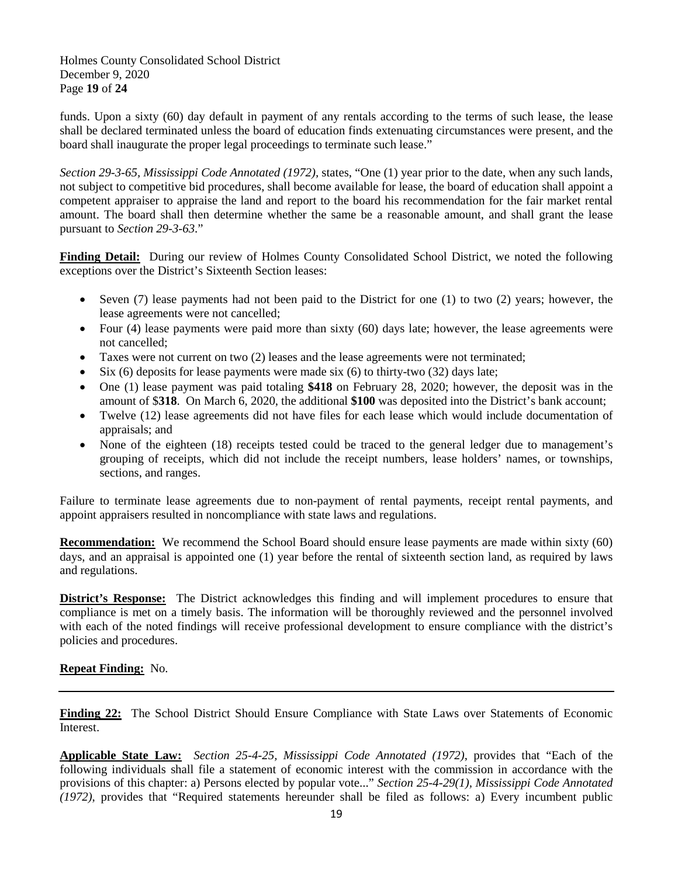Holmes County Consolidated School District December 9, 2020 Page **19** of **24**

funds. Upon a sixty (60) day default in payment of any rentals according to the terms of such lease, the lease shall be declared terminated unless the board of education finds extenuating circumstances were present, and the board shall inaugurate the proper legal proceedings to terminate such lease."

*Section 29-3-65, Mississippi Code Annotated (1972),* states, "One (1) year prior to the date, when any such lands, not subject to competitive bid procedures, shall become available for lease, the board of education shall appoint a competent appraiser to appraise the land and report to the board his recommendation for the fair market rental amount. The board shall then determine whether the same be a reasonable amount, and shall grant the lease pursuant to *Section 29-3-63*."

**Finding Detail:** During our review of Holmes County Consolidated School District, we noted the following exceptions over the District's Sixteenth Section leases:

- Seven (7) lease payments had not been paid to the District for one (1) to two (2) years; however, the lease agreements were not cancelled;
- Four (4) lease payments were paid more than sixty (60) days late; however, the lease agreements were not cancelled;
- Taxes were not current on two (2) leases and the lease agreements were not terminated;
- Six  $(6)$  deposits for lease payments were made six  $(6)$  to thirty-two  $(32)$  days late;
- One (1) lease payment was paid totaling **\$418** on February 28, 2020; however, the deposit was in the amount of \$**318**. On March 6, 2020, the additional **\$100** was deposited into the District's bank account;
- Twelve (12) lease agreements did not have files for each lease which would include documentation of appraisals; and
- None of the eighteen (18) receipts tested could be traced to the general ledger due to management's grouping of receipts, which did not include the receipt numbers, lease holders' names, or townships, sections, and ranges.

Failure to terminate lease agreements due to non-payment of rental payments, receipt rental payments, and appoint appraisers resulted in noncompliance with state laws and regulations.

**Recommendation:** We recommend the School Board should ensure lease payments are made within sixty (60) days, and an appraisal is appointed one (1) year before the rental of sixteenth section land, as required by laws and regulations.

**District's Response:** The District acknowledges this finding and will implement procedures to ensure that compliance is met on a timely basis. The information will be thoroughly reviewed and the personnel involved with each of the noted findings will receive professional development to ensure compliance with the district's policies and procedures.

## **Repeat Finding:** No.

**Finding 22:** The School District Should Ensure Compliance with State Laws over Statements of Economic Interest.

**Applicable State Law:** *Section 25-4-25, Mississippi Code Annotated (1972)*, provides that "Each of the following individuals shall file a statement of economic interest with the commission in accordance with the provisions of this chapter: a) Persons elected by popular vote..." *Section 25-4-29(1), Mississippi Code Annotated (1972)*, provides that "Required statements hereunder shall be filed as follows: a) Every incumbent public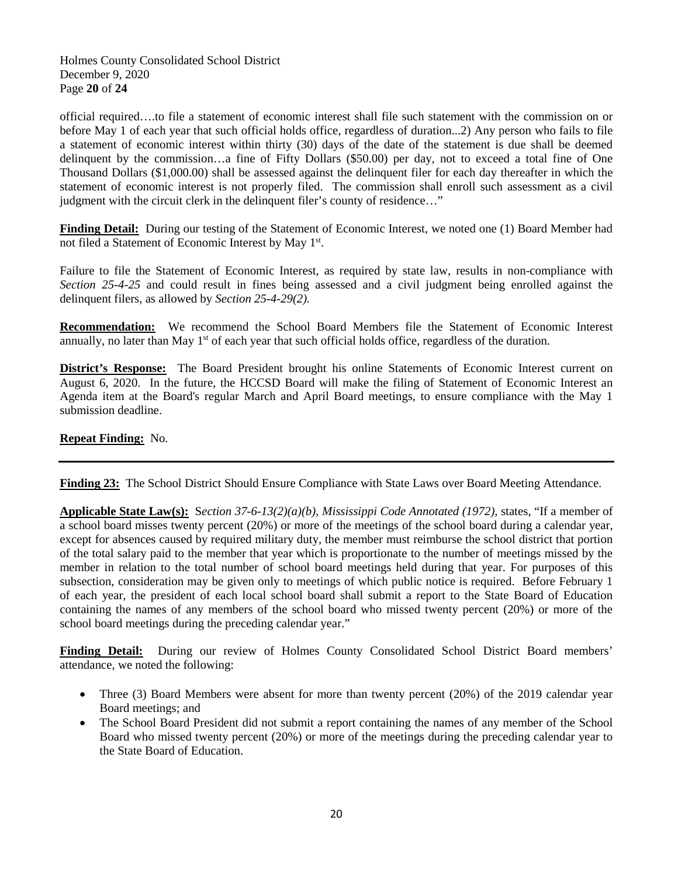Holmes County Consolidated School District December 9, 2020 Page **20** of **24**

official required….to file a statement of economic interest shall file such statement with the commission on or before May 1 of each year that such official holds office, regardless of duration...2) Any person who fails to file a statement of economic interest within thirty (30) days of the date of the statement is due shall be deemed delinquent by the commission…a fine of Fifty Dollars (\$50.00) per day, not to exceed a total fine of One Thousand Dollars (\$1,000.00) shall be assessed against the delinquent filer for each day thereafter in which the statement of economic interest is not properly filed. The commission shall enroll such assessment as a civil judgment with the circuit clerk in the delinquent filer's county of residence…"

**Finding Detail:** During our testing of the Statement of Economic Interest, we noted one (1) Board Member had not filed a Statement of Economic Interest by May 1st.

Failure to file the Statement of Economic Interest, as required by state law, results in non-compliance with *Section 25-4-25* and could result in fines being assessed and a civil judgment being enrolled against the delinquent filers, as allowed by *Section 25-4-29(2).*

**Recommendation:** We recommend the School Board Members file the Statement of Economic Interest annually, no later than May 1<sup>st</sup> of each year that such official holds office, regardless of the duration.

**District's Response:** The Board President brought his online Statements of Economic Interest current on August 6, 2020. In the future, the HCCSD Board will make the filing of Statement of Economic Interest an Agenda item at the Board's regular March and April Board meetings, to ensure compliance with the May 1 submission deadline.

## **Repeat Finding:** No.

**Finding 23:** The School District Should Ensure Compliance with State Laws over Board Meeting Attendance.

**Applicable State Law(s):** S*ection 37-6-13(2)(a)(b), Mississippi Code Annotated (1972),* states, "If a member of a school board misses twenty percent (20%) or more of the meetings of the school board during a calendar year, except for absences caused by required military duty, the member must reimburse the school district that portion of the total salary paid to the member that year which is proportionate to the number of meetings missed by the member in relation to the total number of school board meetings held during that year. For purposes of this subsection, consideration may be given only to meetings of which public notice is required. Before February 1 of each year, the president of each local school board shall submit a report to the State Board of Education containing the names of any members of the school board who missed twenty percent (20%) or more of the school board meetings during the preceding calendar year."

**Finding Detail:** During our review of Holmes County Consolidated School District Board members' attendance, we noted the following:

- Three (3) Board Members were absent for more than twenty percent (20%) of the 2019 calendar year Board meetings; and
- The School Board President did not submit a report containing the names of any member of the School Board who missed twenty percent (20%) or more of the meetings during the preceding calendar year to the State Board of Education.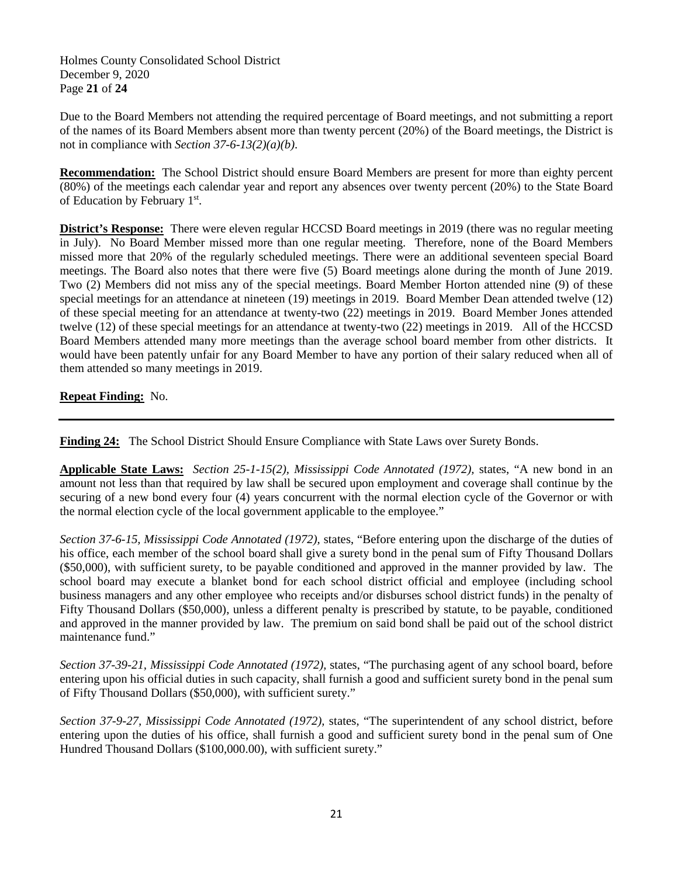Holmes County Consolidated School District December 9, 2020 Page **21** of **24**

Due to the Board Members not attending the required percentage of Board meetings, and not submitting a report of the names of its Board Members absent more than twenty percent (20%) of the Board meetings, the District is not in compliance with *Section 37-6-13(2)(a)(b)*.

**Recommendation:** The School District should ensure Board Members are present for more than eighty percent (80%) of the meetings each calendar year and report any absences over twenty percent (20%) to the State Board of Education by February 1st.

**District's Response:** There were eleven regular HCCSD Board meetings in 2019 (there was no regular meeting in July). No Board Member missed more than one regular meeting. Therefore, none of the Board Members missed more that 20% of the regularly scheduled meetings. There were an additional seventeen special Board meetings. The Board also notes that there were five (5) Board meetings alone during the month of June 2019. Two (2) Members did not miss any of the special meetings. Board Member Horton attended nine (9) of these special meetings for an attendance at nineteen (19) meetings in 2019. Board Member Dean attended twelve (12) of these special meeting for an attendance at twenty-two (22) meetings in 2019. Board Member Jones attended twelve (12) of these special meetings for an attendance at twenty-two (22) meetings in 2019. All of the HCCSD Board Members attended many more meetings than the average school board member from other districts. It would have been patently unfair for any Board Member to have any portion of their salary reduced when all of them attended so many meetings in 2019.

**Repeat Finding:** No.

**Finding 24:** The School District Should Ensure Compliance with State Laws over Surety Bonds.

**Applicable State Laws:** *Section 25-1-15(2), Mississippi Code Annotated (1972),* states, "A new bond in an amount not less than that required by law shall be secured upon employment and coverage shall continue by the securing of a new bond every four (4) years concurrent with the normal election cycle of the Governor or with the normal election cycle of the local government applicable to the employee."

*Section 37-6-15, Mississippi Code Annotated (1972),* states, "Before entering upon the discharge of the duties of his office, each member of the school board shall give a surety bond in the penal sum of Fifty Thousand Dollars (\$50,000), with sufficient surety, to be payable conditioned and approved in the manner provided by law. The school board may execute a blanket bond for each school district official and employee (including school business managers and any other employee who receipts and/or disburses school district funds) in the penalty of Fifty Thousand Dollars (\$50,000), unless a different penalty is prescribed by statute, to be payable, conditioned and approved in the manner provided by law. The premium on said bond shall be paid out of the school district maintenance fund."

*Section 37-39-21, Mississippi Code Annotated (1972),* states, "The purchasing agent of any school board, before entering upon his official duties in such capacity, shall furnish a good and sufficient surety bond in the penal sum of Fifty Thousand Dollars (\$50,000), with sufficient surety."

*Section 37-9-27, Mississippi Code Annotated (1972),* states, "The superintendent of any school district, before entering upon the duties of his office, shall furnish a good and sufficient surety bond in the penal sum of One Hundred Thousand Dollars (\$100,000.00), with sufficient surety."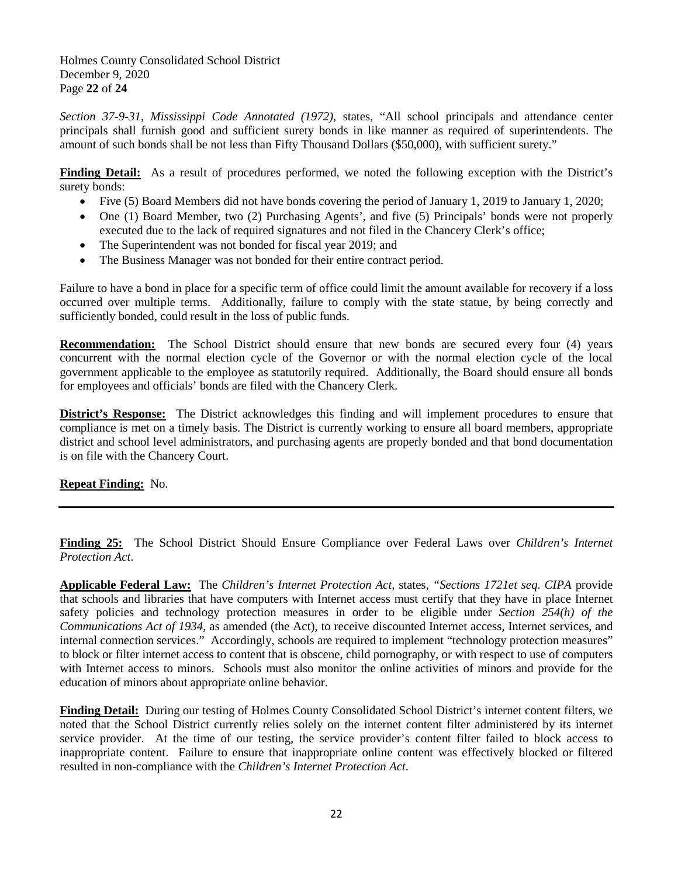Holmes County Consolidated School District December 9, 2020 Page **22** of **24**

*Section 37-9-31, Mississippi Code Annotated (1972),* states, "All school principals and attendance center principals shall furnish good and sufficient surety bonds in like manner as required of superintendents. The amount of such bonds shall be not less than Fifty Thousand Dollars (\$50,000), with sufficient surety."

**Finding Detail:** As a result of procedures performed, we noted the following exception with the District's surety bonds:

- Five (5) Board Members did not have bonds covering the period of January 1, 2019 to January 1, 2020;
- One (1) Board Member, two (2) Purchasing Agents', and five (5) Principals' bonds were not properly executed due to the lack of required signatures and not filed in the Chancery Clerk's office;
- The Superintendent was not bonded for fiscal year 2019; and
- The Business Manager was not bonded for their entire contract period.

Failure to have a bond in place for a specific term of office could limit the amount available for recovery if a loss occurred over multiple terms. Additionally, failure to comply with the state statue, by being correctly and sufficiently bonded, could result in the loss of public funds.

**Recommendation:** The School District should ensure that new bonds are secured every four (4) years concurrent with the normal election cycle of the Governor or with the normal election cycle of the local government applicable to the employee as statutorily required. Additionally, the Board should ensure all bonds for employees and officials' bonds are filed with the Chancery Clerk.

**District's Response:** The District acknowledges this finding and will implement procedures to ensure that compliance is met on a timely basis. The District is currently working to ensure all board members, appropriate district and school level administrators, and purchasing agents are properly bonded and that bond documentation is on file with the Chancery Court.

**Repeat Finding:** No.

**Finding 25:** The School District Should Ensure Compliance over Federal Laws over *Children's Internet Protection Act*.

**Applicable Federal Law:** The *Children's Internet Protection Act,* states*, "Sections 1721et seq. CIPA* provide that schools and libraries that have computers with Internet access must certify that they have in place Internet safety policies and technology protection measures in order to be eligible under *Section 254(h) of the Communications Act of 1934*, as amended (the Act), to receive discounted Internet access, Internet services, and internal connection services." Accordingly, schools are required to implement "technology protection measures" to block or filter internet access to content that is obscene, child pornography, or with respect to use of computers with Internet access to minors. Schools must also monitor the online activities of minors and provide for the education of minors about appropriate online behavior.

**Finding Detail:** During our testing of Holmes County Consolidated School District's internet content filters, we noted that the School District currently relies solely on the internet content filter administered by its internet service provider. At the time of our testing, the service provider's content filter failed to block access to inappropriate content. Failure to ensure that inappropriate online content was effectively blocked or filtered resulted in non-compliance with the *Children's Internet Protection Act*.